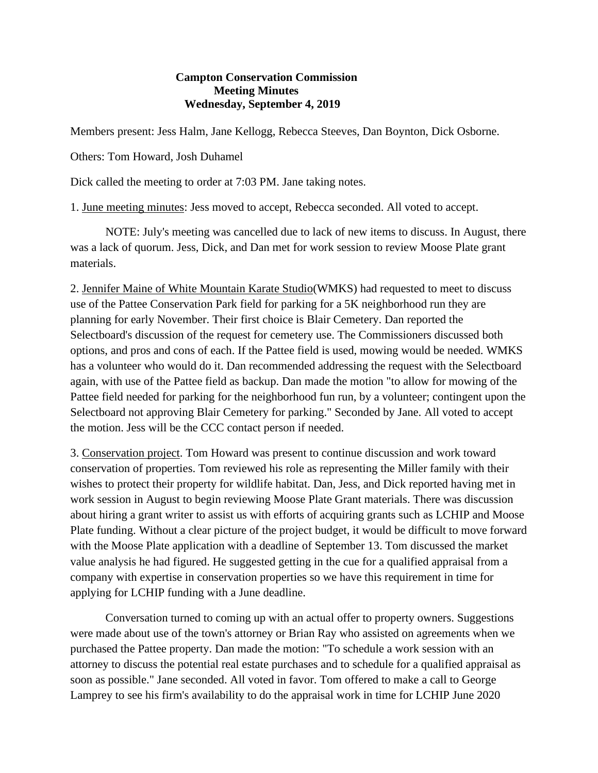## **Campton Conservation Commission Meeting Minutes Wednesday, September 4, 2019**

Members present: Jess Halm, Jane Kellogg, Rebecca Steeves, Dan Boynton, Dick Osborne.

Others: Tom Howard, Josh Duhamel

Dick called the meeting to order at 7:03 PM. Jane taking notes.

1. June meeting minutes: Jess moved to accept, Rebecca seconded. All voted to accept.

NOTE: July's meeting was cancelled due to lack of new items to discuss. In August, there was a lack of quorum. Jess, Dick, and Dan met for work session to review Moose Plate grant materials.

2. Jennifer Maine of White Mountain Karate Studio(WMKS) had requested to meet to discuss use of the Pattee Conservation Park field for parking for a 5K neighborhood run they are planning for early November. Their first choice is Blair Cemetery. Dan reported the Selectboard's discussion of the request for cemetery use. The Commissioners discussed both options, and pros and cons of each. If the Pattee field is used, mowing would be needed. WMKS has a volunteer who would do it. Dan recommended addressing the request with the Selectboard again, with use of the Pattee field as backup. Dan made the motion "to allow for mowing of the Pattee field needed for parking for the neighborhood fun run, by a volunteer; contingent upon the Selectboard not approving Blair Cemetery for parking." Seconded by Jane. All voted to accept the motion. Jess will be the CCC contact person if needed.

3. Conservation project. Tom Howard was present to continue discussion and work toward conservation of properties. Tom reviewed his role as representing the Miller family with their wishes to protect their property for wildlife habitat. Dan, Jess, and Dick reported having met in work session in August to begin reviewing Moose Plate Grant materials. There was discussion about hiring a grant writer to assist us with efforts of acquiring grants such as LCHIP and Moose Plate funding. Without a clear picture of the project budget, it would be difficult to move forward with the Moose Plate application with a deadline of September 13. Tom discussed the market value analysis he had figured. He suggested getting in the cue for a qualified appraisal from a company with expertise in conservation properties so we have this requirement in time for applying for LCHIP funding with a June deadline.

Conversation turned to coming up with an actual offer to property owners. Suggestions were made about use of the town's attorney or Brian Ray who assisted on agreements when we purchased the Pattee property. Dan made the motion: "To schedule a work session with an attorney to discuss the potential real estate purchases and to schedule for a qualified appraisal as soon as possible." Jane seconded. All voted in favor. Tom offered to make a call to George Lamprey to see his firm's availability to do the appraisal work in time for LCHIP June 2020